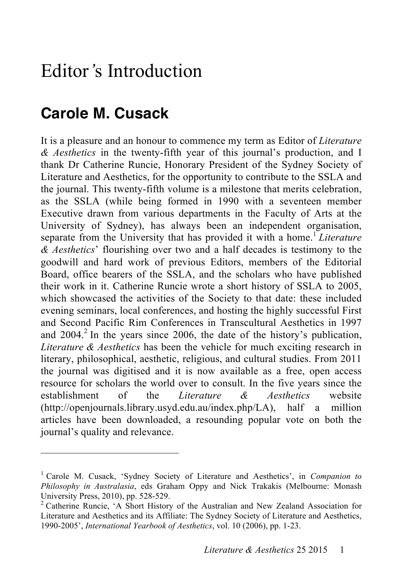## Editor*'*s Introduction

## **Carole M. Cusack**

 $\overline{a}$ 

It is a pleasure and an honour to commence my term as Editor of *Literature & Aesthetics* in the twenty-fifth year of this journal's production, and I thank Dr Catherine Runcie, Honorary President of the Sydney Society of Literature and Aesthetics, for the opportunity to contribute to the SSLA and the journal. This twenty-fifth volume is a milestone that merits celebration, as the SSLA (while being formed in 1990 with a seventeen member Executive drawn from various departments in the Faculty of Arts at the University of Sydney), has always been an independent organisation, separate from the University that has provided it with a home. <sup>1</sup> *Literature & Aesthetics*' flourishing over two and a half decades is testimony to the goodwill and hard work of previous Editors, members of the Editorial Board, office bearers of the SSLA, and the scholars who have published their work in it. Catherine Runcie wrote a short history of SSLA to 2005, which showcased the activities of the Society to that date: these included evening seminars, local conferences, and hosting the highly successful First and Second Pacific Rim Conferences in Transcultural Aesthetics in 1997 and  $2004$ <sup>2</sup>. In the years since 2006, the date of the history's publication, *Literature & Aesthetics* has been the vehicle for much exciting research in literary, philosophical, aesthetic, religious, and cultural studies. From 2011 the journal was digitised and it is now available as a free, open access resource for scholars the world over to consult. In the five years since the establishment of the *Literature & Aesthetics* website (http://openjournals.library.usyd.edu.au/index.php/LA), half a million articles have been downloaded, a resounding popular vote on both the journal's quality and relevance.

<sup>&</sup>lt;sup>1</sup> Carole M. Cusack, 'Sydney Society of Literature and Aesthetics', in *Companion to Philosophy in Australasia*, eds Graham Oppy and Nick Trakakis (Melbourne: Monash University Press, 2010), pp. 528-529.<br><sup>2</sup> Catherine Runcie, 'A Short History of the Australian and New Zealand Association for

Literature and Aesthetics and its Affiliate: The Sydney Society of Literature and Aesthetics, 1990-2005', *International Yearbook of Aesthetics*, vol. 10 (2006), pp. 1-23.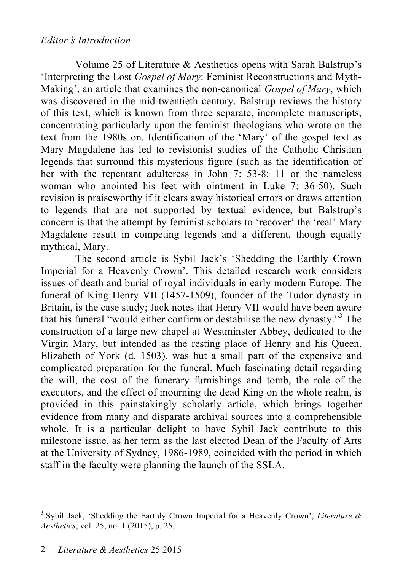## *Editor's Introduction*

Volume 25 of Literature & Aesthetics opens with Sarah Balstrup's 'Interpreting the Lost *Gospel of Mary*: Feminist Reconstructions and Myth-Making', an article that examines the non-canonical *Gospel of Mary*, which was discovered in the mid-twentieth century. Balstrup reviews the history of this text, which is known from three separate, incomplete manuscripts, concentrating particularly upon the feminist theologians who wrote on the text from the 1980s on. Identification of the 'Mary' of the gospel text as Mary Magdalene has led to revisionist studies of the Catholic Christian legends that surround this mysterious figure (such as the identification of her with the repentant adulteress in John 7: 53-8: 11 or the nameless woman who anointed his feet with ointment in Luke 7: 36-50). Such revision is praiseworthy if it clears away historical errors or draws attention to legends that are not supported by textual evidence, but Balstrup's concern is that the attempt by feminist scholars to 'recover' the 'real' Mary Magdalene result in competing legends and a different, though equally mythical, Mary.

The second article is Sybil Jack's 'Shedding the Earthly Crown Imperial for a Heavenly Crown'. This detailed research work considers issues of death and burial of royal individuals in early modern Europe. The funeral of King Henry VII (1457-1509), founder of the Tudor dynasty in Britain, is the case study; Jack notes that Henry VII would have been aware that his funeral "would either confirm or destabilise the new dynasty." 3 The construction of a large new chapel at Westminster Abbey, dedicated to the Virgin Mary, but intended as the resting place of Henry and his Queen, Elizabeth of York (d. 1503), was but a small part of the expensive and complicated preparation for the funeral. Much fascinating detail regarding the will, the cost of the funerary furnishings and tomb, the role of the executors, and the effect of mourning the dead King on the whole realm, is provided in this painstakingly scholarly article, which brings together evidence from many and disparate archival sources into a comprehensible whole. It is a particular delight to have Sybil Jack contribute to this milestone issue, as her term as the last elected Dean of the Faculty of Arts at the University of Sydney, 1986-1989, coincided with the period in which staff in the faculty were planning the launch of the SSLA.

 $\overline{a}$ 

<sup>3</sup> Sybil Jack, 'Shedding the Earthly Crown Imperial for a Heavenly Crown', *Literature & Aesthetics*, vol. 25, no. 1 (2015), p. 25.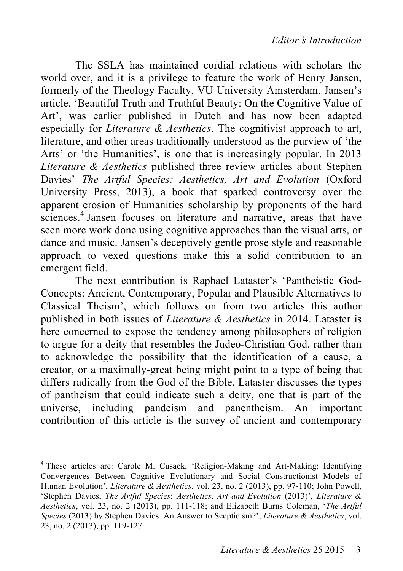The SSLA has maintained cordial relations with scholars the world over, and it is a privilege to feature the work of Henry Jansen, formerly of the Theology Faculty, VU University Amsterdam. Jansen's article, 'Beautiful Truth and Truthful Beauty: On the Cognitive Value of Art', was earlier published in Dutch and has now been adapted especially for *Literature & Aesthetics*. The cognitivist approach to art, literature, and other areas traditionally understood as the purview of 'the Arts' or 'the Humanities', is one that is increasingly popular. In 2013 *Literature & Aesthetics* published three review articles about Stephen Davies' *The Artful Species: Aesthetics, Art and Evolution* (Oxford University Press, 2013), a book that sparked controversy over the apparent erosion of Humanities scholarship by proponents of the hard sciences.<sup>4</sup> Jansen focuses on literature and narrative, areas that have seen more work done using cognitive approaches than the visual arts, or dance and music. Jansen's deceptively gentle prose style and reasonable approach to vexed questions make this a solid contribution to an emergent field.

The next contribution is Raphael Lataster's 'Pantheistic God-Concepts: Ancient, Contemporary, Popular and Plausible Alternatives to Classical Theism', which follows on from two articles this author published in both issues of *Literature & Aesthetics* in 2014. Lataster is here concerned to expose the tendency among philosophers of religion to argue for a deity that resembles the Judeo-Christian God, rather than to acknowledge the possibility that the identification of a cause, a creator, or a maximally-great being might point to a type of being that differs radically from the God of the Bible. Lataster discusses the types of pantheism that could indicate such a deity, one that is part of the universe, including pandeism and panentheism. An important contribution of this article is the survey of ancient and contemporary

 $\overline{a}$ 

<sup>4</sup> These articles are: Carole M. Cusack, 'Religion-Making and Art-Making: Identifying Convergences Between Cognitive Evolutionary and Social Constructionist Models of Human Evolution', *Literature & Aesthetics*, vol. 23, no. 2 (2013), pp. 97-110; John Powell, 'Stephen Davies, *The Artful Species*: *Aesthetics, Art and Evolution* (2013)', *Literature & Aesthetics*, vol. 23, no. 2 (2013), pp. 111-118; and Elizabeth Burns Coleman, '*The Artful Species* (2013) by Stephen Davies: An Answer to Scepticism?', *Literature & Aesthetics*, vol. 23, no. 2 (2013), pp. 119-127.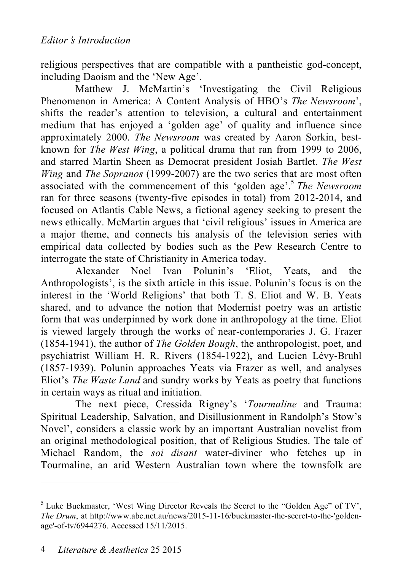religious perspectives that are compatible with a pantheistic god-concept, including Daoism and the 'New Age'.

Matthew J. McMartin's 'Investigating the Civil Religious Phenomenon in America: A Content Analysis of HBO's *The Newsroom*', shifts the reader's attention to television, a cultural and entertainment medium that has enjoyed a 'golden age' of quality and influence since approximately 2000. *The Newsroom* was created by Aaron Sorkin, bestknown for *The West Wing*, a political drama that ran from 1999 to 2006, and starred Martin Sheen as Democrat president Josiah Bartlet. *The West Wing* and *The Sopranos* (1999-2007) are the two series that are most often associated with the commencement of this 'golden age'. <sup>5</sup> *The Newsroom* ran for three seasons (twenty-five episodes in total) from 2012-2014, and focused on Atlantis Cable News, a fictional agency seeking to present the news ethically. McMartin argues that 'civil religious' issues in America are a major theme, and connects his analysis of the television series with empirical data collected by bodies such as the Pew Research Centre to interrogate the state of Christianity in America today.

Alexander Noel Ivan Polunin's 'Eliot, Yeats, and the Anthropologists', is the sixth article in this issue. Polunin's focus is on the interest in the 'World Religions' that both T. S. Eliot and W. B. Yeats shared, and to advance the notion that Modernist poetry was an artistic form that was underpinned by work done in anthropology at the time. Eliot is viewed largely through the works of near-contemporaries J. G. Frazer (1854-1941), the author of *The Golden Bough*, the anthropologist, poet, and psychiatrist William H. R. Rivers (1854-1922), and Lucien Lévy-Bruhl (1857-1939). Polunin approaches Yeats via Frazer as well, and analyses Eliot's *The Waste Land* and sundry works by Yeats as poetry that functions in certain ways as ritual and initiation.

The next piece, Cressida Rigney's '*Tourmaline* and Trauma: Spiritual Leadership, Salvation, and Disillusionment in Randolph's Stow's Novel', considers a classic work by an important Australian novelist from an original methodological position, that of Religious Studies. The tale of Michael Random, the *soi disant* water-diviner who fetches up in Tourmaline, an arid Western Australian town where the townsfolk are

 $\overline{a}$ 

<sup>&</sup>lt;sup>5</sup> Luke Buckmaster, 'West Wing Director Reveals the Secret to the "Golden Age" of TV', *The Drum*, at http://www.abc.net.au/news/2015-11-16/buckmaster-the-secret-to-the-'goldenage'-of-tv/6944276. Accessed 15/11/2015.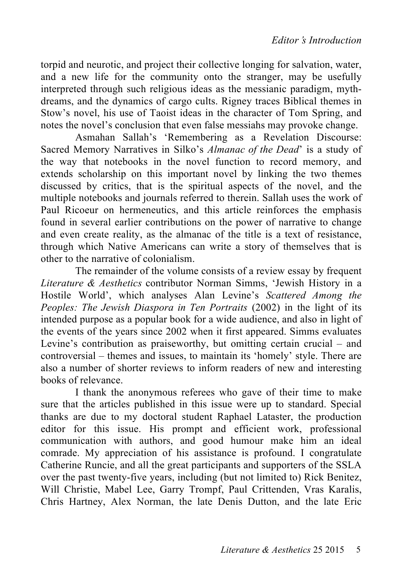torpid and neurotic, and project their collective longing for salvation, water, and a new life for the community onto the stranger, may be usefully interpreted through such religious ideas as the messianic paradigm, mythdreams, and the dynamics of cargo cults. Rigney traces Biblical themes in Stow's novel, his use of Taoist ideas in the character of Tom Spring, and notes the novel's conclusion that even false messiahs may provoke change.

Asmahan Sallah's 'Remembering as a Revelation Discourse: Sacred Memory Narratives in Silko's *Almanac of the Dead*' is a study of the way that notebooks in the novel function to record memory, and extends scholarship on this important novel by linking the two themes discussed by critics, that is the spiritual aspects of the novel, and the multiple notebooks and journals referred to therein. Sallah uses the work of Paul Ricoeur on hermeneutics, and this article reinforces the emphasis found in several earlier contributions on the power of narrative to change and even create reality, as the almanac of the title is a text of resistance, through which Native Americans can write a story of themselves that is other to the narrative of colonialism.

The remainder of the volume consists of a review essay by frequent *Literature & Aesthetics* contributor Norman Simms, 'Jewish History in a Hostile World', which analyses Alan Levine's *Scattered Among the Peoples: The Jewish Diaspora in Ten Portraits* (2002) in the light of its intended purpose as a popular book for a wide audience, and also in light of the events of the years since 2002 when it first appeared. Simms evaluates Levine's contribution as praiseworthy, but omitting certain crucial – and controversial – themes and issues, to maintain its 'homely' style. There are also a number of shorter reviews to inform readers of new and interesting books of relevance.

I thank the anonymous referees who gave of their time to make sure that the articles published in this issue were up to standard. Special thanks are due to my doctoral student Raphael Lataster, the production editor for this issue. His prompt and efficient work, professional communication with authors, and good humour make him an ideal comrade. My appreciation of his assistance is profound. I congratulate Catherine Runcie, and all the great participants and supporters of the SSLA over the past twenty-five years, including (but not limited to) Rick Benitez, Will Christie, Mabel Lee, Garry Trompf, Paul Crittenden, Vras Karalis, Chris Hartney, Alex Norman, the late Denis Dutton, and the late Eric